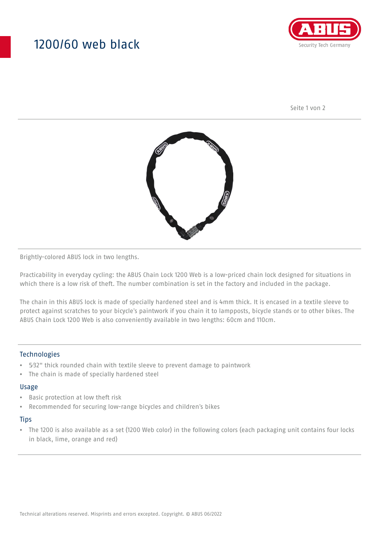## 1200/60 web black



Seite 1 von 2



Brightly-colored ABUS lock in two lengths.

Practicability in everyday cycling: the ABUS Chain Lock 1200 Web is a low-priced chain lock designed for situations in which there is a low risk of theft. The number combination is set in the factory and included in the package.

The chain in this ABUS lock is made of specially hardened steel and is 4mm thick. It is encased in a textile sleeve to protect against scratches to your bicycle's paintwork if you chain it to lampposts, bicycle stands or to other bikes. The ABUS Chain Lock 1200 Web is also conveniently available in two lengths: 60cm and 110cm.

### **Technologies**

- 5⁄32" thick rounded chain with textile sleeve to prevent damage to paintwork
- The chain is made of specially hardened steel

#### Usage

- Basic protection at low theft risk
- Recommended for securing low-range bicycles and children's bikes

#### **Tips**

• The 1200 is also available as a set (1200 Web color) in the following colors (each packaging unit contains four locks in black, lime, orange and red)